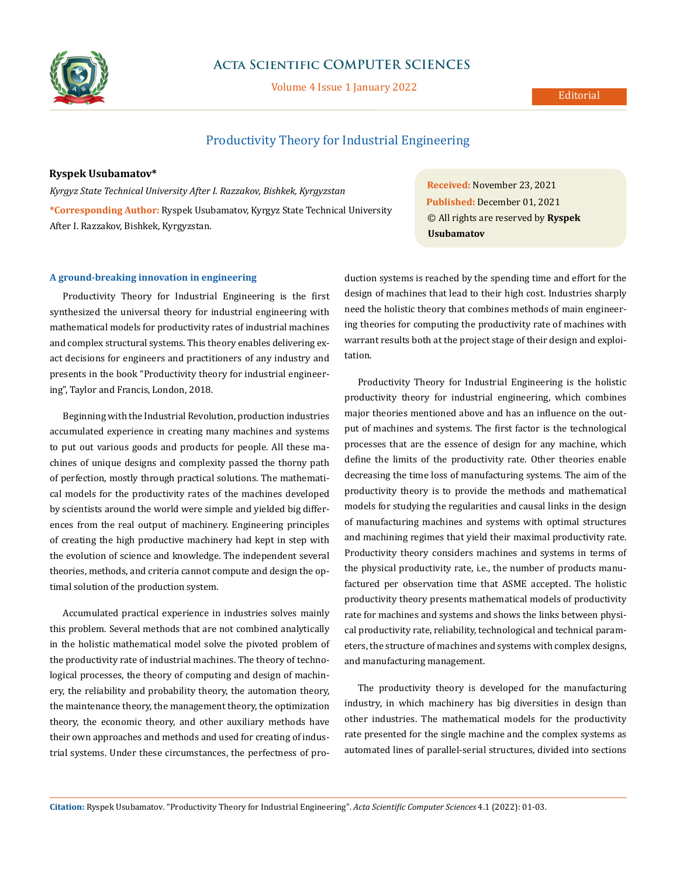

## **Acta Scientific COMPUTER SCIENCES**

Volume 4 Issue 1 January 2022

# Productivity Theory for Industrial Engineering

### **Ryspek Usubamatov\***

*Kyrgyz State Technical University After I. Razzakov, Bishkek, Kyrgyzstan* **\*Corresponding Author:** Ryspek Usubamatov, Kyrgyz State Technical University After I. Razzakov, Bishkek, Kyrgyzstan.

**A ground-breaking innovation in engineering** 

Productivity Theory for Industrial Engineering is the first synthesized the universal theory for industrial engineering with mathematical models for productivity rates of industrial machines and complex structural systems. This theory enables delivering exact decisions for engineers and practitioners of any industry and presents in the book "Productivity theory for industrial engineering", Taylor and Francis, London, 2018.

Beginning with the Industrial Revolution, production industries accumulated experience in creating many machines and systems to put out various goods and products for people. All these machines of unique designs and complexity passed the thorny path of perfection, mostly through practical solutions. The mathematical models for the productivity rates of the machines developed by scientists around the world were simple and yielded big differences from the real output of machinery. Engineering principles of creating the high productive machinery had kept in step with the evolution of science and knowledge. The independent several theories, methods, and criteria cannot compute and design the optimal solution of the production system.

Accumulated practical experience in industries solves mainly this problem. Several methods that are not combined analytically in the holistic mathematical model solve the pivoted problem of the productivity rate of industrial machines. The theory of technological processes, the theory of computing and design of machinery, the reliability and probability theory, the automation theory, the maintenance theory, the management theory, the optimization theory, the economic theory, and other auxiliary methods have their own approaches and methods and used for creating of industrial systems. Under these circumstances, the perfectness of pro-

**Received:** November 23, 2021 **Published:** December 01, 2021 © All rights are reserved by **Ryspek Usubamatov**

duction systems is reached by the spending time and effort for the design of machines that lead to their high cost. Industries sharply need the holistic theory that combines methods of main engineering theories for computing the productivity rate of machines with warrant results both at the project stage of their design and exploitation.

Productivity Theory for Industrial Engineering is the holistic productivity theory for industrial engineering, which combines major theories mentioned above and has an influence on the output of machines and systems. The first factor is the technological processes that are the essence of design for any machine, which define the limits of the productivity rate. Other theories enable decreasing the time loss of manufacturing systems. The aim of the productivity theory is to provide the methods and mathematical models for studying the regularities and causal links in the design of manufacturing machines and systems with optimal structures and machining regimes that yield their maximal productivity rate. Productivity theory considers machines and systems in terms of the physical productivity rate, i.e., the number of products manufactured per observation time that ASME accepted. The holistic productivity theory presents mathematical models of productivity rate for machines and systems and shows the links between physical productivity rate, reliability, technological and technical parameters, the structure of machines and systems with complex designs, and manufacturing management.

The productivity theory is developed for the manufacturing industry, in which machinery has big diversities in design than other industries. The mathematical models for the productivity rate presented for the single machine and the complex systems as automated lines of parallel-serial structures, divided into sections

**Citation:** Ryspek Usubamatov*.* "Productivity Theory for Industrial Engineering". *Acta Scientific Computer Sciences* 4.1 (2022): 01-03.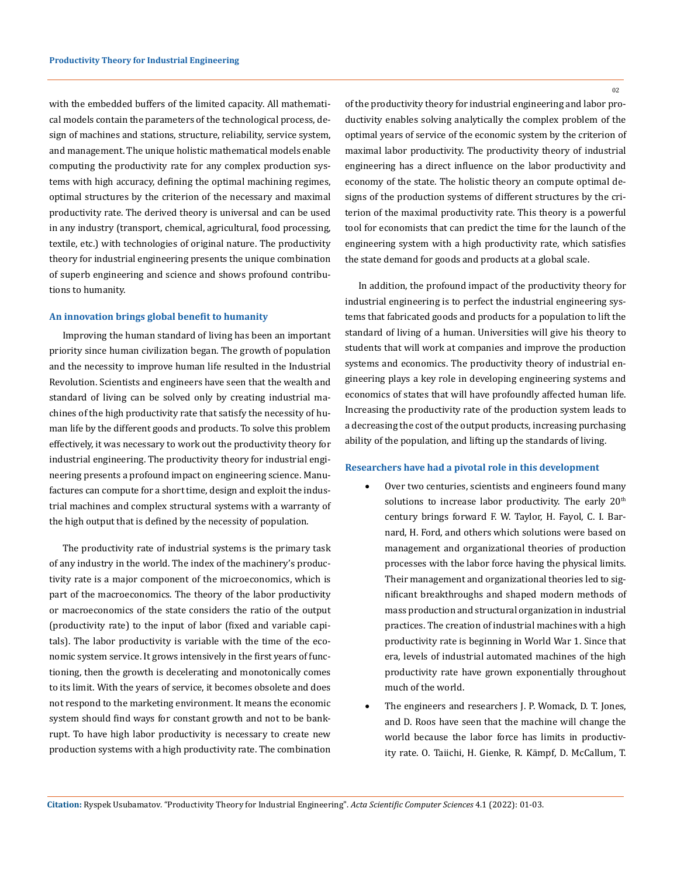with the embedded buffers of the limited capacity. All mathematical models contain the parameters of the technological process, design of machines and stations, structure, reliability, service system, and management. The unique holistic mathematical models enable computing the productivity rate for any complex production systems with high accuracy, defining the optimal machining regimes, optimal structures by the criterion of the necessary and maximal productivity rate. The derived theory is universal and can be used in any industry (transport, chemical, agricultural, food processing, textile, etc.) with technologies of original nature. The productivity theory for industrial engineering presents the unique combination of superb engineering and science and shows profound contributions to humanity.

#### **An innovation brings global benefit to humanity**

Improving the human standard of living has been an important priority since human civilization began. The growth of population and the necessity to improve human life resulted in the Industrial Revolution. Scientists and engineers have seen that the wealth and standard of living can be solved only by creating industrial machines of the high productivity rate that satisfy the necessity of human life by the different goods and products. To solve this problem effectively, it was necessary to work out the productivity theory for industrial engineering. The productivity theory for industrial engineering presents a profound impact on engineering science. Manufactures can compute for a short time, design and exploit the industrial machines and complex structural systems with a warranty of the high output that is defined by the necessity of population.

The productivity rate of industrial systems is the primary task of any industry in the world. The index of the machinery's productivity rate is a major component of the microeconomics, which is part of the macroeconomics. The theory of the labor productivity or macroeconomics of the state considers the ratio of the output (productivity rate) to the input of labor (fixed and variable capitals). The labor productivity is variable with the time of the economic system service. It grows intensively in the first years of functioning, then the growth is decelerating and monotonically comes to its limit. With the years of service, it becomes obsolete and does not respond to the marketing environment. It means the economic system should find ways for constant growth and not to be bankrupt. To have high labor productivity is necessary to create new production systems with a high productivity rate. The combination

02

of the productivity theory for industrial engineering and labor productivity enables solving analytically the complex problem of the optimal years of service of the economic system by the criterion of maximal labor productivity. The productivity theory of industrial engineering has a direct influence on the labor productivity and economy of the state. The holistic theory an compute optimal designs of the production systems of different structures by the criterion of the maximal productivity rate. This theory is a powerful tool for economists that can predict the time for the launch of the engineering system with a high productivity rate, which satisfies the state demand for goods and products at a global scale.

In addition, the profound impact of the productivity theory for industrial engineering is to perfect the industrial engineering systems that fabricated goods and products for a population to lift the standard of living of a human. Universities will give his theory to students that will work at companies and improve the production systems and economics. The productivity theory of industrial engineering plays a key role in developing engineering systems and economics of states that will have profoundly affected human life. Increasing the productivity rate of the production system leads to a decreasing the cost of the output products, increasing purchasing ability of the population, and lifting up the standards of living.

#### **Researchers have had a pivotal role in this development**

- • Over two centuries, scientists and engineers found many solutions to increase labor productivity. The early  $20<sup>th</sup>$ century brings forward F. W. Taylor, H. Fayol, C. I. Barnard, H. Ford, and others which solutions were based on management and organizational theories of production processes with the labor force having the physical limits. Their management and organizational theories led to significant breakthroughs and shaped modern methods of mass production and structural organization in industrial practices. The creation of industrial machines with a high productivity rate is beginning in World War 1. Since that era, levels of industrial automated machines of the high productivity rate have grown exponentially throughout much of the world.
- The engineers and researchers J. P. Womack, D. T. Jones, and D. Roos have seen that the machine will change the world because the labor force has limits in productivity rate. O. Taiichi, H. Gienke, R. Kämpf, D. McCallum, T.